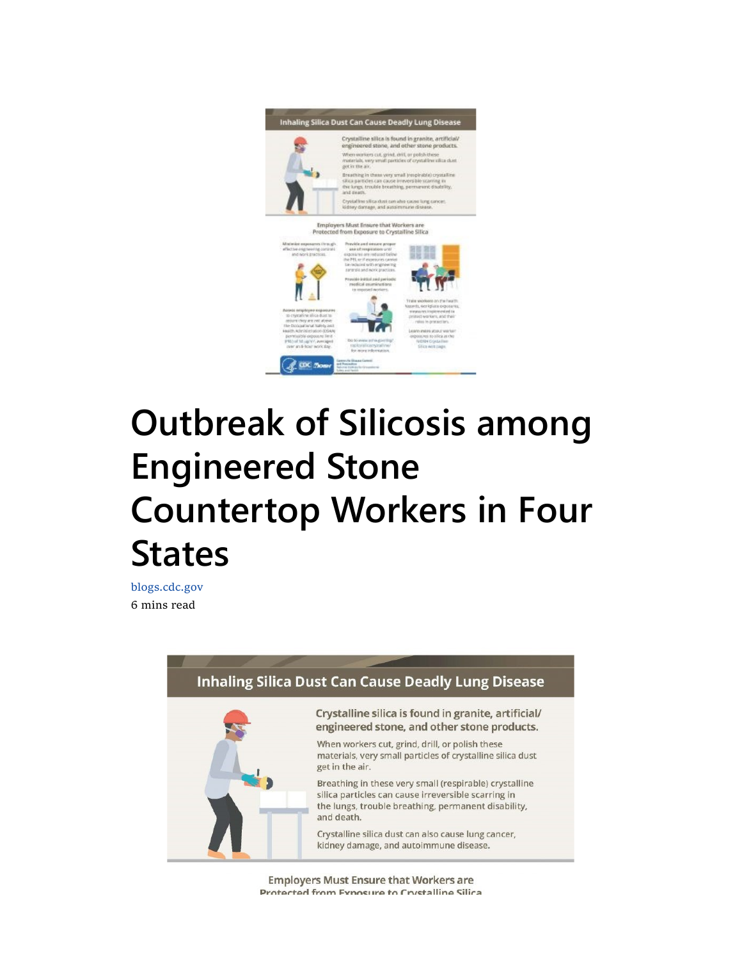

## Outbreak of Silicosis among Engineered Stone Countertop Workers in Four **States**

blogs.cdc.gov 6 mins read



**Employers Must Ensure that Workers are** Protected from Exposure to Crystalline Silica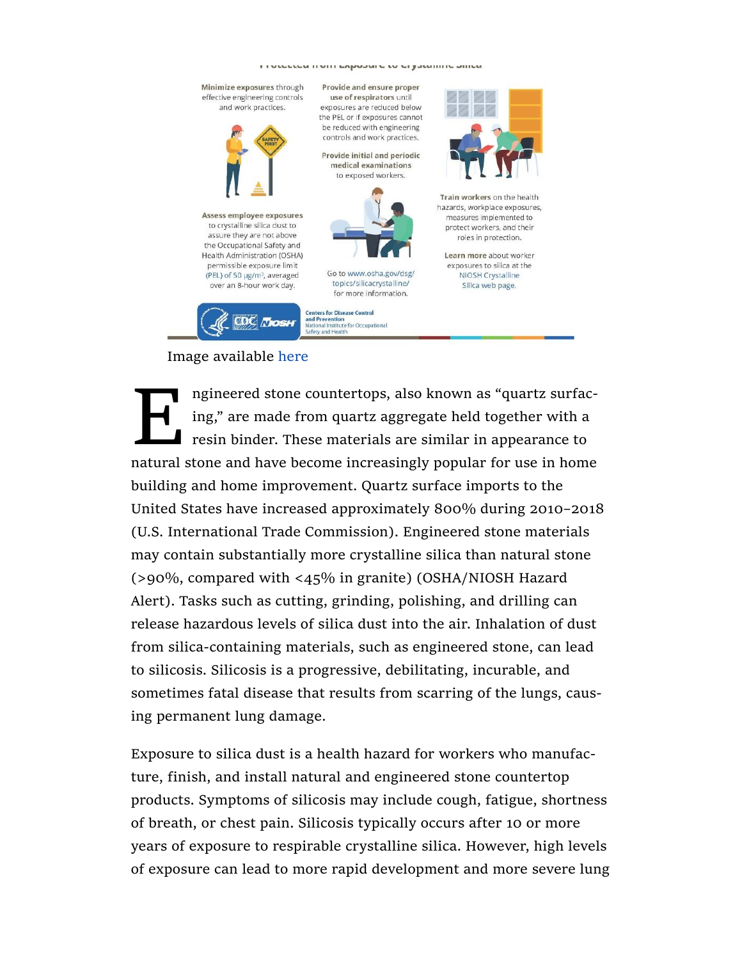<u>PERPATI AITI PUNANI P PA PI TAMIIII P AIIIPN</u>



## Image available here

Implement also known as "quartz surfacing," are made from quartz aggregate held together with a resin binder. These materials are similar in appearance to natural stone and have become increasingly popular for use in home ngineered stone countertops, also known as "quartz surfacing," are made from quartz aggregate held together with a resin binder. These materials are similar in appearance to building and home improvement. Quartz surface imports to the United States have increased approximately 800% during 2010–2018 (U.S. International Trade Commission). Engineered stone materials may contain substantially more crystalline silica than natural stone (>90%, compared with <45% in granite) (OSHA/NIOSH Hazard Alert). Tasks such as cutting, grinding, polishing, and drilling can release hazardous levels of silica dust into the air. Inhalation of dust from silica-containing materials, such as engineered stone, can lead to silicosis. Silicosis is a progressive, debilitating, incurable, and sometimes fatal disease that results from scarring of the lungs, causing permanent lung damage.

Exposure to silica dust is a health hazard for workers who manufacture, finish, and install natural and engineered stone countertop products. Symptoms of silicosis may include cough, fatigue, shortness of breath, or chest pain. Silicosis typically occurs after 10 or more years of exposure to respirable crystalline silica. However, high levels of exposure can lead to more rapid development and more severe lung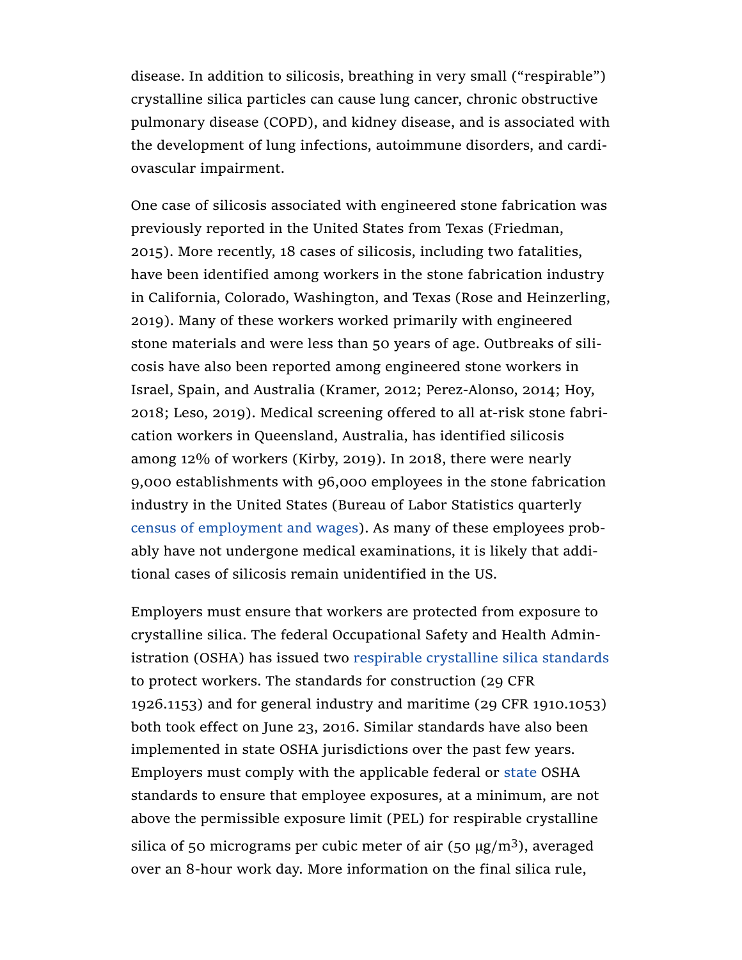disease. In addition to silicosis, breathing in very small ("respirable") crystalline silica particles can cause lung cancer, chronic obstructive pulmonary disease (COPD), and kidney disease, and is associated with the development of lung infections, autoimmune disorders, and cardiovascular impairment.

One case of silicosis associated with engineered stone fabrication was previously reported in the United States from Texas (Friedman, 2015). More recently, 18 cases of silicosis, including two fatalities, have been identified among workers in the stone fabrication industry in California, Colorado, Washington, and Texas (Rose and Heinzerling, 2019). Many of these workers worked primarily with engineered stone materials and were less than 50 years of age. Outbreaks of silicosis have also been reported among engineered stone workers in Israel, Spain, and Australia (Kramer, 2012; Perez-Alonso, 2014; Hoy, 2018; Leso, 2019). Medical screening offered to all at-risk stone fabrication workers in Queensland, Australia, has identified silicosis among 12% of workers (Kirby, 2019). In 2018, there were nearly 9,000 establishments with 96,000 employees in the stone fabrication industry in the United States (Bureau of Labor Statistics quarterly census of employment and wages). As many of these employees probably have not undergone medical examinations, it is likely that additional cases of silicosis remain unidentified in the US.

Employers must ensure that workers are protected from exposure to crystalline silica. The federal Occupational Safety and Health Administration (OSHA) has issued two respirable crystalline silica standards to protect workers. The standards for construction (29 CFR 1926.1153) and for general industry and maritime (29 CFR 1910.1053) both took effect on June 23, 2016. Similar standards have also been implemented in state OSHA jurisdictions over the past few years. Employers must comply with the applicable federal or state OSHA standards to ensure that employee exposures, at a minimum, are not above the permissible exposure limit (PEL) for respirable crystalline silica of 50 micrograms per cubic meter of air (50  $\mu$ g/m<sup>3</sup>), averaged over an 8-hour work day. More information on the final silica rule,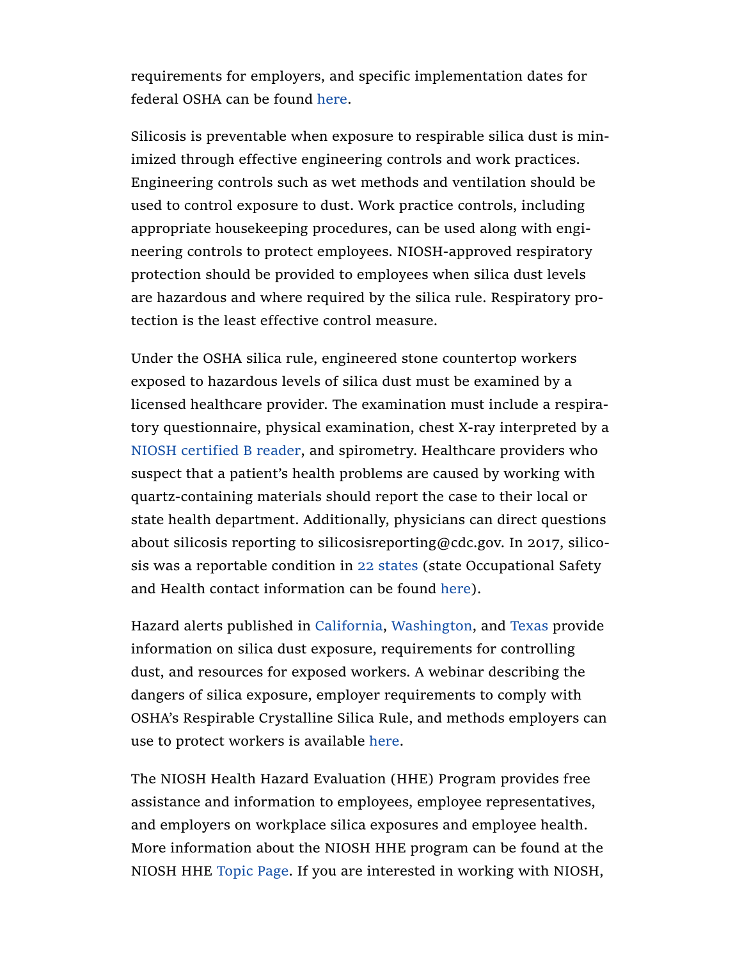requirements for employers, and specific implementation dates for federal OSHA can be found here.

Silicosis is preventable when exposure to respirable silica dust is minimized through effective engineering controls and work practices. Engineering controls such as wet methods and ventilation should be used to control exposure to dust. Work practice controls, including appropriate housekeeping procedures, can be used along with engineering controls to protect employees. NIOSH-approved respiratory protection should be provided to employees when silica dust levels are hazardous and where required by the silica rule. Respiratory protection is the least effective control measure.

Under the OSHA silica rule, engineered stone countertop workers exposed to hazardous levels of silica dust must be examined by a licensed healthcare provider. The examination must include a respiratory questionnaire, physical examination, chest X-ray interpreted by a NIOSH certified B reader, and spirometry. Healthcare providers who suspect that a patient's health problems are caused by working with quartz-containing materials should report the case to their local or state health department. Additionally, physicians can direct questions about silicosis reporting to silicosisreporting@cdc.gov. In 2017, silicosis was a reportable condition in 22 states (state Occupational Safety and Health contact information can be found here).

Hazard alerts published in California, Washington, and Texas provide information on silica dust exposure, requirements for controlling dust, and resources for exposed workers. A webinar describing the dangers of silica exposure, employer requirements to comply with OSHA's Respirable Crystalline Silica Rule, and methods employers can use to protect workers is available here.

The NIOSH Health Hazard Evaluation (HHE) Program provides free assistance and information to employees, employee representatives, and employers on workplace silica exposures and employee health. More information about the NIOSH HHE program can be found at the NIOSH HHE Topic Page. If you are interested in working with NIOSH,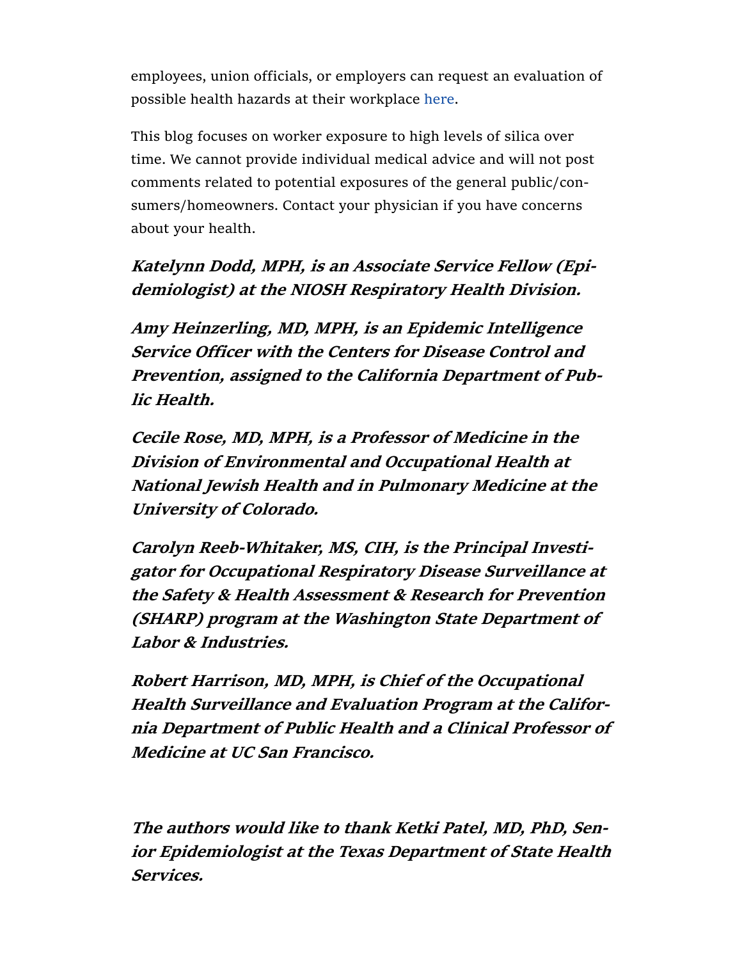employees, union officials, or employers can request an evaluation of possible health hazards at their workplace here.

This blog focuses on worker exposure to high levels of silica over time. We cannot provide individual medical advice and will not post comments related to potential exposures of the general public/consumers/homeowners. Contact your physician if you have concerns about your health.

## Katelynn Dodd, MPH, is an Associate Service Fellow (Epidemiologist) at the NIOSH Respiratory Health Division.

Amy Heinzerling, MD, MPH, is an Epidemic Intelligence Service Officer with the Centers for Disease Control and Prevention, assigned to the California Department of Public Health.

Cecile Rose, MD, MPH, is a Professor of Medicine in the Division of Environmental and Occupational Health at National Jewish Health and in Pulmonary Medicine at the University of Colorado.

Carolyn Reeb-Whitaker, MS, CIH, is the Principal Investigator for Occupational Respiratory Disease Surveillance at the Safety & Health Assessment & Research for Prevention (SHARP) program at the Washington State Department of Labor & Industries.

Robert Harrison, MD, MPH, is Chief of the Occupational Health Surveillance and Evaluation Program at the California Department of Public Health and a Clinical Professor of Medicine at UC San Francisco.

The authors would like to thank Ketki Patel, MD, PhD, Senior Epidemiologist at the Texas Department of State Health Services.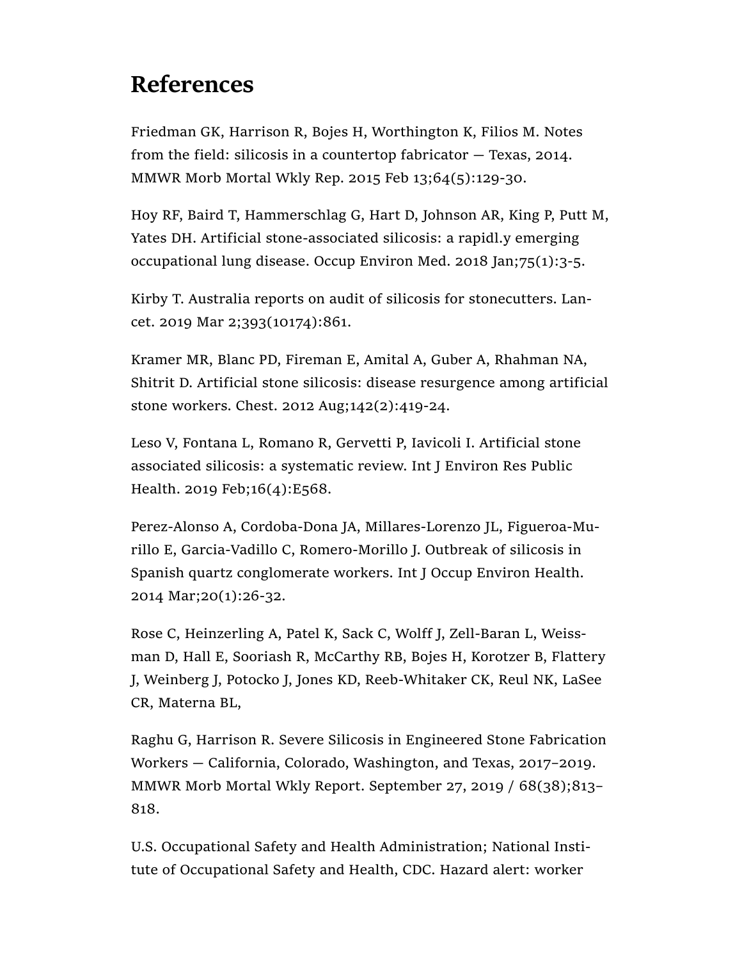## References

Friedman GK, Harrison R, Bojes H, Worthington K, Filios M. Notes from the field: silicosis in a countertop fabricator — Texas, 2014. MMWR Morb Mortal Wkly Rep. 2015 Feb 13;64(5):129-30.

Hoy RF, Baird T, Hammerschlag G, Hart D, Johnson AR, King P, Putt M, Yates DH. Artificial stone-associated silicosis: a rapidl.y emerging occupational lung disease. Occup Environ Med. 2018 Jan;75(1):3-5.

Kirby T. Australia reports on audit of silicosis for stonecutters. Lancet. 2019 Mar 2;393(10174):861.

Kramer MR, Blanc PD, Fireman E, Amital A, Guber A, Rhahman NA, Shitrit D. Artificial stone silicosis: disease resurgence among artificial stone workers. Chest. 2012 Aug;142(2):419-24.

Leso V, Fontana L, Romano R, Gervetti P, Iavicoli I. Artificial stone associated silicosis: a systematic review. Int J Environ Res Public Health. 2019 Feb;16(4):E568.

Perez-Alonso A, Cordoba-Dona JA, Millares-Lorenzo JL, Figueroa-Murillo E, Garcia-Vadillo C, Romero-Morillo J. Outbreak of silicosis in Spanish quartz conglomerate workers. Int J Occup Environ Health. 2014 Mar;20(1):26-32.

Rose C, Heinzerling A, Patel K, Sack C, Wolff J, Zell-Baran L, Weissman D, Hall E, Sooriash R, McCarthy RB, Bojes H, Korotzer B, Flattery J, Weinberg J, Potocko J, Jones KD, Reeb-Whitaker CK, Reul NK, LaSee CR, Materna BL,

Raghu G, Harrison R. Severe Silicosis in Engineered Stone Fabrication Workers — California, Colorado, Washington, and Texas, 2017–2019. MMWR Morb Mortal Wkly Report. September 27, 2019 / 68(38);813– 818.

U.S. Occupational Safety and Health Administration; National Institute of Occupational Safety and Health, CDC. Hazard alert: worker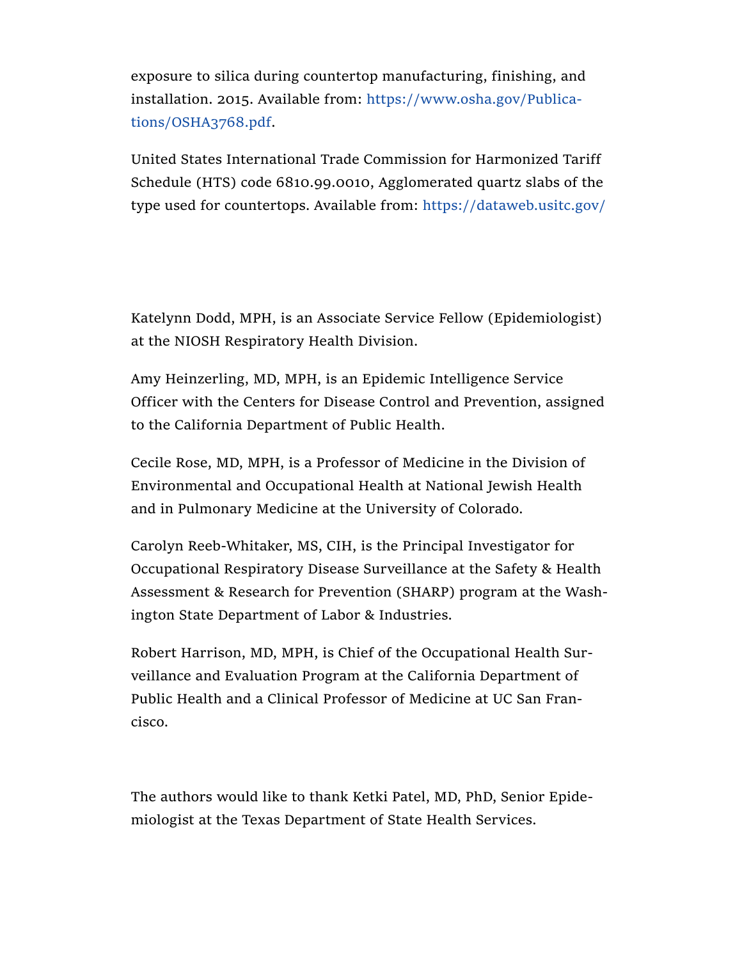exposure to silica during countertop manufacturing, finishing, and installation. 2015. Available from: https://www.osha.gov/Publications/OSHA3768.pdf.

United States International Trade Commission for Harmonized Tariff Schedule (HTS) code 6810.99.0010, Agglomerated quartz slabs of the type used for countertops. Available from: https://dataweb.usitc.gov/

Katelynn Dodd, MPH, is an Associate Service Fellow (Epidemiologist) at the NIOSH Respiratory Health Division.

Amy Heinzerling, MD, MPH, is an Epidemic Intelligence Service Officer with the Centers for Disease Control and Prevention, assigned to the California Department of Public Health.

Cecile Rose, MD, MPH, is a Professor of Medicine in the Division of Environmental and Occupational Health at National Jewish Health and in Pulmonary Medicine at the University of Colorado.

Carolyn Reeb-Whitaker, MS, CIH, is the Principal Investigator for Occupational Respiratory Disease Surveillance at the Safety & Health Assessment & Research for Prevention (SHARP) program at the Washington State Department of Labor & Industries.

Robert Harrison, MD, MPH, is Chief of the Occupational Health Surveillance and Evaluation Program at the California Department of Public Health and a Clinical Professor of Medicine at UC San Francisco.

The authors would like to thank Ketki Patel, MD, PhD, Senior Epidemiologist at the Texas Department of State Health Services.